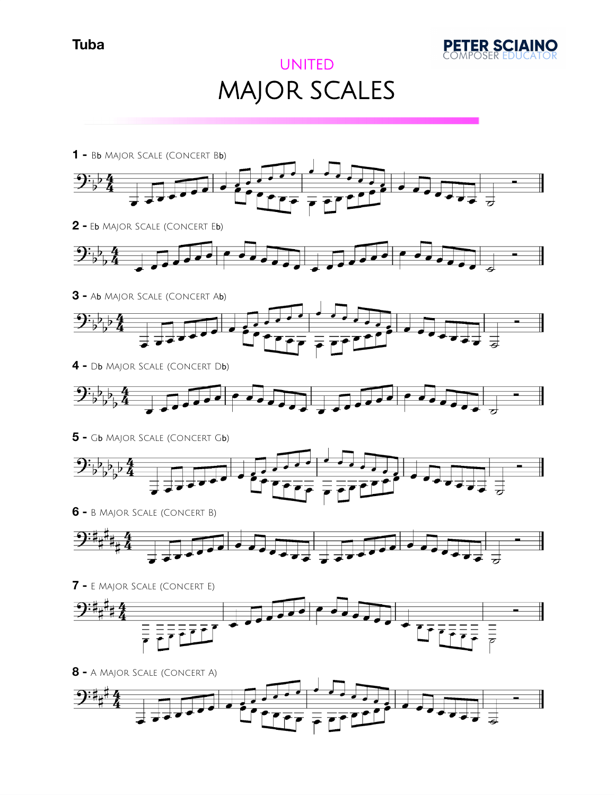

## UNITED MAJOR SCALES